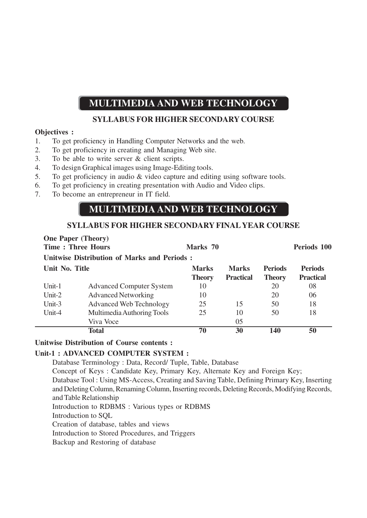# **MULTIMEDIA AND WEB TECHNOLOGY**

## **SYLLABUS FOR HIGHER SECONDARY COURSE**

### **Objectives :**

- 1. To get proficiency in Handling Computer Networks and the web.
- 2. To get proficiency in creating and Managing Web site.
- 3. To be able to write server & client scripts.
- 4. To design Graphical images using Image-Editing tools.
- 5. To get proficiency in audio & video capture and editing using software tools.
- 6. To get proficiency in creating presentation with Audio and Video clips.
- 7. To become an entrepreneur in IT field.

# **MULTIMEDIA AND WEB TECHNOLOGY**

## **SYLLABUS FOR HIGHER SECONDARY FINAL YEAR COURSE**

| <b>One Paper (Theory)</b><br><b>Time: Three Hours</b> |                                 | Marks 70                      |                                  |                                 | Periods 100                        |
|-------------------------------------------------------|---------------------------------|-------------------------------|----------------------------------|---------------------------------|------------------------------------|
| <b>Unitwise Distribution of Marks and Periods:</b>    |                                 |                               |                                  |                                 |                                    |
| Unit No. Title                                        |                                 | <b>Marks</b><br><b>Theory</b> | <b>Marks</b><br><b>Practical</b> | <b>Periods</b><br><b>Theory</b> | <b>Periods</b><br><b>Practical</b> |
| Unit-1                                                | <b>Advanced Computer System</b> | 10                            |                                  | 20                              | 08                                 |
| Unit- $2$                                             | <b>Advanced Networking</b>      | 10                            |                                  | 20                              | 06                                 |
| Unit- $3$                                             | <b>Advanced Web Technology</b>  | 25                            | 15                               | 50                              | 18                                 |
| Unit-4                                                | Multimedia Authoring Tools      | 25                            | 10                               | 50                              | 18                                 |
|                                                       | Viva Voce                       |                               | 05                               |                                 |                                    |
|                                                       | Total                           | 70                            | 30                               | 140                             | 50                                 |

#### **Unitwise Distribution of Course contents :**

### **Unit-1 : ADVANCED COMPUTER SYSTEM :**

Database Terminology : Data, Record/ Tuple, Table, Database Concept of Keys : Candidate Key, Primary Key, Alternate Key and Foreign Key; Database Tool : Using MS-Access, Creating and Saving Table, Defining Primary Key, Inserting and Deleting Column, Renaming Column, Inserting records, Deleting Records, Modifying Records, and Table Relationship Introduction to RDBMS : Various types or RDBMS Introduction to SQL Creation of database, tables and views Introduction to Stored Procedures, and Triggers Backup and Restoring of database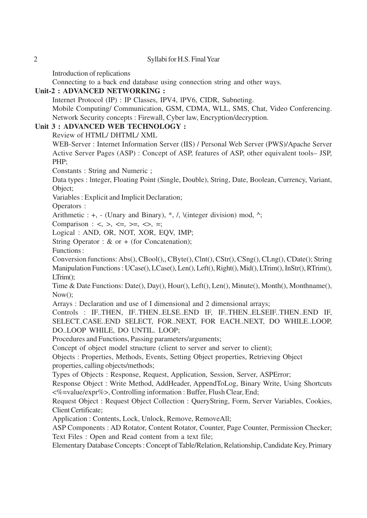Introduction of replications

Connecting to a back end database using connection string and other ways.

## **Unit-2 : ADVANCED NETWORKING :**

Internet Protocol (IP) : IP Classes, IPV4, lPV6, CIDR, Subneting.

Mobile Computing/ Communication, GSM, CDMA, WLL, SMS, Chat, Video Conferencing. Network Security concepts : Firewall, Cyber law, Encryption/decryption.

## **Unit 3 : ADVANCED WEB TECHNOLOGY :**

Review of HTML/ DHTML/ XML

WEB-Server : Internet Information Server (IIS) / Personal Web Server (PWS)/Apache Server Active Server Pages (ASP) : Concept of ASP, features of ASP, other equivalent tools– JSP, PHP;

Constants : String and Numeric ;

Data types : lnteger, Floating Point (Single, Double), String, Date, Boolean, Currency, Variant, Object;

Variables : Explicit and Implicit Declaration;

Operators :

Arithmetic :  $+$ ,  $-$  (Unary and Binary),  $*$ ,  $/$ ,  $\langle$  (integer division) mod,  $\wedge$ ;

Comparison :  $\langle \rangle$ ,  $\langle \rangle$ ,  $\langle \rangle$ ,  $\langle \rangle$ ,  $\langle \rangle$ ,  $\langle \rangle$ ,  $\langle \rangle$ ,  $\langle \rangle$ ,  $\langle \rangle$ 

Logical : AND, OR, NOT, XOR, EQV, IMP;

String Operator : & or + (for Concatenation);

Functions :

Conversion functions: Abs(), CBool(),, CByte(), Clnt(), CStr(), CSng(), CLng(), CDate(); String Manipulation Functions : UCase(), LCase(), Len(), Left(), Right(), Mid(), LTrim(), InStr(), RTrim(), LTrim();

Time & Date Functions: Date(), Day(), Hour(), Left(), Len(), Minute(), Month(), Monthname(),  $Now()$ :

Arrays : Declaration and use of I dimensional and 2 dimensional arrays;

Controls : IF..THEN, IF..THEN..ELSE..END IF, IF..THEN..ELSEIF..THEN..END IF, SELECT..CASE..END SELECT, FOR..NEXT, FOR EACH..NEXT, DO WHILE..LOOP, DO..LOOP WHILE, DO UNTIL. LOOP;

Procedures and Functions, Passing parameters/arguments;

Concept of object model structure (client to server and server to client);

Objects : Properties, Methods, Events, Setting Object properties, Retrieving Object properties, calling objects/methods;

Types of Objects : Response, Request, Application, Session, Server, ASPError;

Response Object : Write Method, AddHeader, AppendToLog, Binary Write, Using Shortcuts <%=value/expr%>, Controlling information : Buffer, Flush Clear, End;

Request Object : Request Object Collection : QueryString, Form, Server Variables, Cookies, Client Certificate;

Application : Contents, Lock, Unlock, Remove, RemoveAll;

ASP Components : AD Rotator, Content Rotator, Counter, Page Counter, Permission Checker; Text Files : Open and Read content from a text file;

Elementary Database Concepts : Concept of Table/Relation, Relationship, Candidate Key, Primary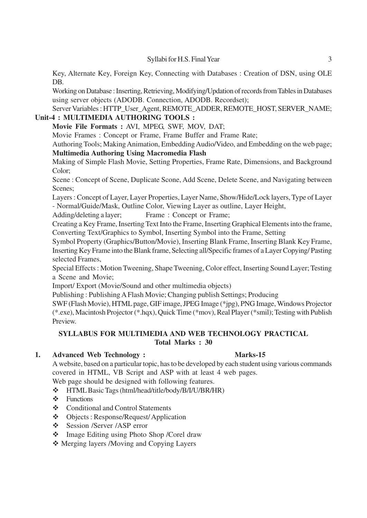Key, Alternate Key, Foreign Key, Connecting with Databases : Creation of DSN, using OLE DB.

Working on Database : Inserting, Retrieving, Modifying/Updation of records from Tables in Databases using server objects (ADODB. Connection, ADODB. Recordset);

Server Variables : HTTP\_User\_Agent,REMOTE\_ADDER, REMOTE\_HOST, SERVER\_NAME; **Unit-4 : MULTIMEDIA AUTHORING TOOLS :**

## **Movie File Formats :** AVI, MPEG, SWF, MOV, DAT;

Movie Frames : Concept or Frame, Frame Buffer and Frame Rate;

Authoring Tools; Making Animation, Embedding Audio/Video, and Embedding on the web page; **Multimedia Authoring Using Macromedia Flash**

Making of Simple Flash Movie, Setting Properties, Frame Rate, Dimensions, and Background Color;

Scene : Concept of Scene, Duplicate Scone, Add Scene, Delete Scene, and Navigating between Scenes;

Layers : Concept of Layer, Layer Properties, Layer Name, Show/Hide/Lock layers, Type of Layer - Normal/Guide/Mask, Outline Color, Viewing Layer as outline, Layer Height,

Adding/deleting a layer; Frame : Concept or Frame;

Creating a Key Frame, Inserting Text Into the Frame, Inserting Graphical Elements into the frame, Converting Text/Graphics to Symbol, Inserting Symbol into the Frame, Setting

Symbol Property (Graphics/Button/Movie), Inserting Blank Frame, Inserting Blank Key Frame, Inserting Key Frame into the Blank frame, Selecting all/Specific frames of a Layer Copying/ Pasting selected Frames,

Special Effects : Motion Tweening, Shape Tweening, Color effect, Inserting Sound Layer; Testing a Scene and Movie;

Import/ Export (Movie/Sound and other multimedia objects)

Publishing : Publishing A Flash Movie; Changing publish Settings; Producing

SWF (Flash Movie), HTML page, GIF image, JPEG Image (\*jpg), PNG Image, Windows Projector (\*.exe), Macintosh Projector (\*.hqx), Quick Time (\*mov), Real Player (\*smil); Testing with Publish Preview.

## **SYLLABUS FOR MULTIMEDIA AND WEB TECHNOLOGY PRACTICAL Total Marks : 30**

## **1. Advanced Web Technology : Marks-15**

A website, based on a particular topic, has to be developed by each student using various commands covered in HTML, VB Script and ASP with at least 4 web pages.

Web page should be designed with following features.

- HTML Basic Tags (html/head/title/body/B/I/U/BR/HR)
- $\div$  Functions
- Conditional and Control Statements
- Objects : Response/Request/ Application
- Session /Server /ASP error
- Image Editing using Photo Shop /Corel draw

Merging layers /Moving and Copying Layers